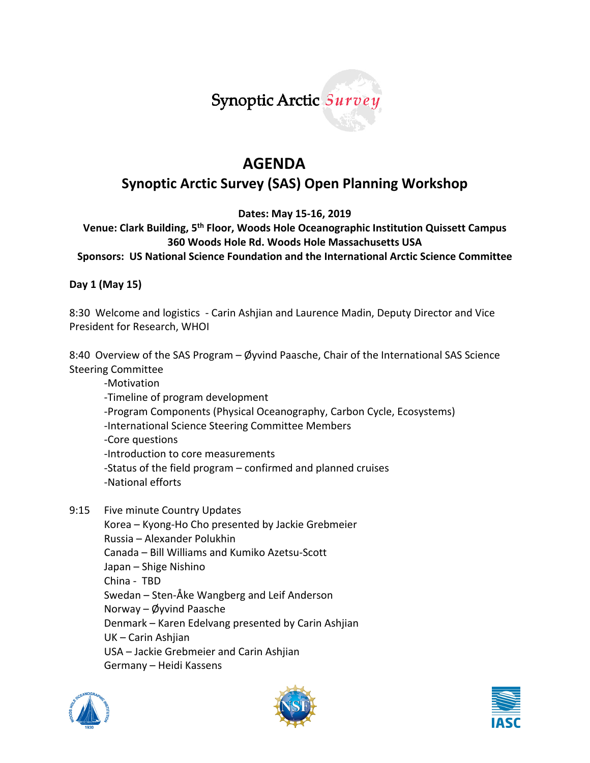# Synoptic Arctic Survey

# **AGENDA Synoptic Arctic Survey (SAS) Open Planning Workshop**

**Dates: May 15-16, 2019** 

**Venue: Clark Building, 5th Floor, Woods Hole Oceanographic Institution Quissett Campus 360 Woods Hole Rd. Woods Hole Massachusetts USA** 

**Sponsors: US National Science Foundation and the International Arctic Science Committee** 

#### **Day 1 (May 15)**

8:30 Welcome and logistics - Carin Ashjian and Laurence Madin, Deputy Director and Vice President for Research, WHOI

8:40 Overview of the SAS Program – Øyvind Paasche, Chair of the International SAS Science Steering Committee

 -Motivation -Timeline of program development -Program Components (Physical Oceanography, Carbon Cycle, Ecosystems) -International Science Steering Committee Members -Core questions -Introduction to core measurements -Status of the field program – confirmed and planned cruises -National efforts

9:15 Five minute Country Updates

Korea – Kyong-Ho Cho presented by Jackie Grebmeier Russia – Alexander Polukhin Canada – Bill Williams and Kumiko Azetsu-Scott Japan – Shige Nishino China - TBD Swedan – Sten-Åke Wangberg and Leif Anderson Norway – Øyvind Paasche Denmark – Karen Edelvang presented by Carin Ashjian UK – Carin Ashjian USA – Jackie Grebmeier and Carin Ashjian Germany – Heidi Kassens





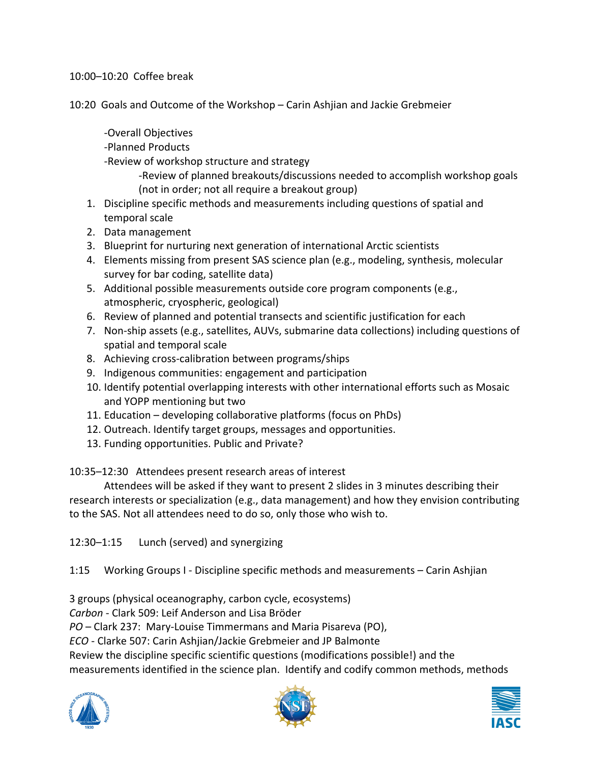#### 10:00–10:20 Coffee break

10:20 Goals and Outcome of the Workshop – Carin Ashjian and Jackie Grebmeier

- -Overall Objectives
- -Planned Products
- -Review of workshop structure and strategy
	- -Review of planned breakouts/discussions needed to accomplish workshop goals (not in order; not all require a breakout group)
- 1. Discipline specific methods and measurements including questions of spatial and temporal scale
- 2. Data management
- 3. Blueprint for nurturing next generation of international Arctic scientists
- 4. Elements missing from present SAS science plan (e.g., modeling, synthesis, molecular survey for bar coding, satellite data)
- 5. Additional possible measurements outside core program components (e.g., atmospheric, cryospheric, geological)
- 6. Review of planned and potential transects and scientific justification for each
- 7. Non-ship assets (e.g., satellites, AUVs, submarine data collections) including questions of spatial and temporal scale
- 8. Achieving cross-calibration between programs/ships
- 9. Indigenous communities: engagement and participation
- 10. Identify potential overlapping interests with other international efforts such as Mosaic and YOPP mentioning but two
- 11. Education developing collaborative platforms (focus on PhDs)
- 12. Outreach. Identify target groups, messages and opportunities.
- 13. Funding opportunities. Public and Private?

10:35–12:30 Attendees present research areas of interest

 Attendees will be asked if they want to present 2 slides in 3 minutes describing their research interests or specialization (e.g., data management) and how they envision contributing to the SAS. Not all attendees need to do so, only those who wish to.

12:30–1:15 Lunch (served) and synergizing

1:15 Working Groups I - Discipline specific methods and measurements – Carin Ashjian

3 groups (physical oceanography, carbon cycle, ecosystems) *Carbon* - Clark 509: Leif Anderson and Lisa Bröder

*PO* – Clark 237: Mary-Louise Timmermans and Maria Pisareva (PO),

*ECO* - Clarke 507: Carin Ashjian/Jackie Grebmeier and JP Balmonte

Review the discipline specific scientific questions (modifications possible!) and the

measurements identified in the science plan. Identify and codify common methods, methods





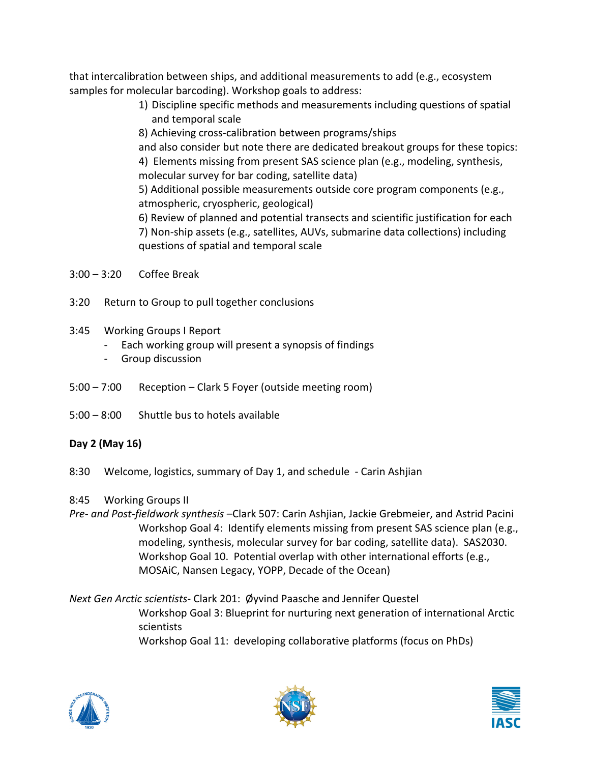that intercalibration between ships, and additional measurements to add (e.g., ecosystem samples for molecular barcoding). Workshop goals to address:

- 1) Discipline specific methods and measurements including questions of spatial and temporal scale
- 8) Achieving cross-calibration between programs/ships

and also consider but note there are dedicated breakout groups for these topics: 4) Elements missing from present SAS science plan (e.g., modeling, synthesis,

molecular survey for bar coding, satellite data)

5) Additional possible measurements outside core program components (e.g., atmospheric, cryospheric, geological)

6) Review of planned and potential transects and scientific justification for each 7) Non-ship assets (e.g., satellites, AUVs, submarine data collections) including questions of spatial and temporal scale

3:00 – 3:20 Coffee Break

- 3:20 Return to Group to pull together conclusions
- 3:45 Working Groups I Report
	- Each working group will present a synopsis of findings
	- Group discussion
- 5:00 7:00 Reception Clark 5 Foyer (outside meeting room)
- 5:00 8:00 Shuttle bus to hotels available

# **Day 2 (May 16)**

8:30 Welcome, logistics, summary of Day 1, and schedule - Carin Ashjian

# 8:45 Working Groups II

*Pre- and Post-fieldwork synthesis* –Clark 507: Carin Ashjian, Jackie Grebmeier, and Astrid Pacini Workshop Goal 4: Identify elements missing from present SAS science plan (e.g., modeling, synthesis, molecular survey for bar coding, satellite data). SAS2030. Workshop Goal 10. Potential overlap with other international efforts (e.g., MOSAiC, Nansen Legacy, YOPP, Decade of the Ocean)

*Next Gen Arctic scientists*- Clark 201: Øyvind Paasche and Jennifer Questel Workshop Goal 3: Blueprint for nurturing next generation of international Arctic scientists Workshop Goal 11: developing collaborative platforms (focus on PhDs)





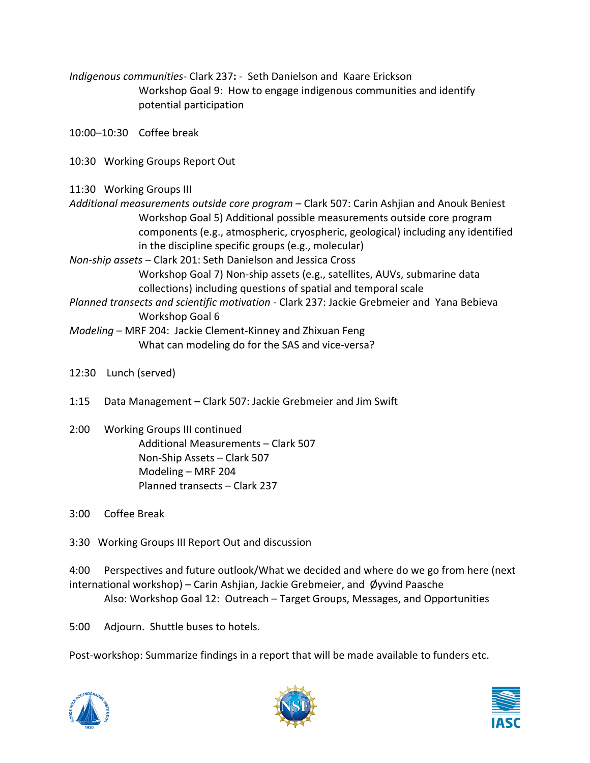*Indigenous communities*- Clark 237**:** - Seth Danielson and Kaare Erickson Workshop Goal 9: How to engage indigenous communities and identify potential participation

10:00–10:30 Coffee break

10:30 Working Groups Report Out

11:30 Working Groups III

- *Additional measurements outside core program* Clark 507: Carin Ashjian and Anouk Beniest Workshop Goal 5) Additional possible measurements outside core program components (e.g., atmospheric, cryospheric, geological) including any identified in the discipline specific groups (e.g., molecular)
- *Non-ship assets* Clark 201: Seth Danielson and Jessica Cross Workshop Goal 7) Non-ship assets (e.g., satellites, AUVs, submarine data collections) including questions of spatial and temporal scale
- *Planned transects and scientific motivation* Clark 237: Jackie Grebmeier and Yana Bebieva Workshop Goal 6

*Modeling* – MRF 204: Jackie Clement-Kinney and Zhixuan Feng What can modeling do for the SAS and vice-versa?

- 12:30 Lunch (served)
- 1:15 Data Management Clark 507: Jackie Grebmeier and Jim Swift
- 2:00 Working Groups III continued Additional Measurements – Clark 507 Non-Ship Assets – Clark 507 Modeling – MRF 204 Planned transects – Clark 237

3:00 Coffee Break

3:30 Working Groups III Report Out and discussion

4:00 Perspectives and future outlook/What we decided and where do we go from here (next international workshop) – Carin Ashjian, Jackie Grebmeier, and Øyvind Paasche Also: Workshop Goal 12: Outreach – Target Groups, Messages, and Opportunities

5:00 Adjourn. Shuttle buses to hotels.

Post-workshop: Summarize findings in a report that will be made available to funders etc.





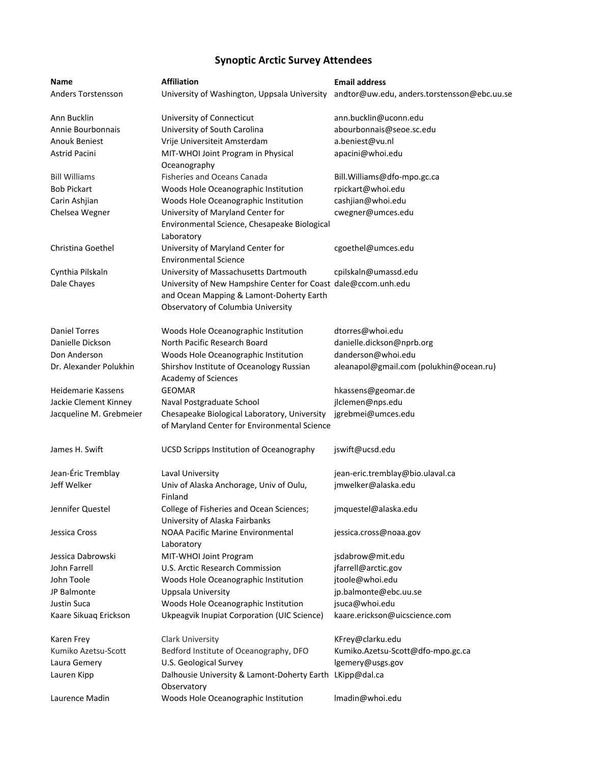### **Synoptic Arctic Survey Attendees**

| Name                    | <b>Affiliation</b>                                                                              | <b>Email address</b>                        |
|-------------------------|-------------------------------------------------------------------------------------------------|---------------------------------------------|
| Anders Torstensson      | University of Washington, Uppsala University                                                    | andtor@uw.edu, anders.torstensson@ebc.uu.se |
| Ann Bucklin             | University of Connecticut                                                                       | ann.bucklin@uconn.edu                       |
| Annie Bourbonnais       | University of South Carolina                                                                    | abourbonnais@seoe.sc.edu                    |
| Anouk Beniest           | Vrije Universiteit Amsterdam                                                                    | a.beniest@vu.nl                             |
| Astrid Pacini           | MIT-WHOI Joint Program in Physical                                                              | apacini@whoi.edu                            |
|                         | Oceanography                                                                                    |                                             |
| <b>Bill Williams</b>    | <b>Fisheries and Oceans Canada</b>                                                              | Bill.Williams@dfo-mpo.gc.ca                 |
| <b>Bob Pickart</b>      | Woods Hole Oceanographic Institution                                                            | rpickart@whoi.edu                           |
| Carin Ashjian           | Woods Hole Oceanographic Institution                                                            | cashjian@whoi.edu                           |
| Chelsea Wegner          | University of Maryland Center for<br>Environmental Science, Chesapeake Biological<br>Laboratory | cwegner@umces.edu                           |
| Christina Goethel       | University of Maryland Center for                                                               | cgoethel@umces.edu                          |
|                         | <b>Environmental Science</b>                                                                    |                                             |
| Cynthia Pilskaln        | University of Massachusetts Dartmouth                                                           | cpilskaln@umassd.edu                        |
| Dale Chayes             | University of New Hampshire Center for Coast dale@ccom.unh.edu                                  |                                             |
|                         | and Ocean Mapping & Lamont-Doherty Earth                                                        |                                             |
|                         | Observatory of Columbia University                                                              |                                             |
| <b>Daniel Torres</b>    | Woods Hole Oceanographic Institution                                                            | dtorres@whoi.edu                            |
| Danielle Dickson        | North Pacific Research Board                                                                    | danielle.dickson@nprb.org                   |
| Don Anderson            | Woods Hole Oceanographic Institution                                                            | danderson@whoi.edu                          |
| Dr. Alexander Polukhin  | Shirshov Institute of Oceanology Russian                                                        | aleanapol@gmail.com (polukhin@ocean.ru)     |
|                         | Academy of Sciences                                                                             |                                             |
| Heidemarie Kassens      | <b>GEOMAR</b>                                                                                   | hkassens@geomar.de                          |
| Jackie Clement Kinney   | Naval Postgraduate School                                                                       | jlclemen@nps.edu                            |
| Jacqueline M. Grebmeier | Chesapeake Biological Laboratory, University                                                    | jgrebmei@umces.edu                          |
|                         | of Maryland Center for Environmental Science                                                    |                                             |
| James H. Swift          | UCSD Scripps Institution of Oceanography                                                        | jswift@ucsd.edu                             |
| Jean-Éric Tremblay      | Laval University                                                                                | jean-eric.tremblay@bio.ulaval.ca            |
| Jeff Welker             | Univ of Alaska Anchorage, Univ of Oulu,                                                         | jmwelker@alaska.edu                         |
|                         | Finland                                                                                         |                                             |
| Jennifer Questel        | College of Fisheries and Ocean Sciences;                                                        | jmquestel@alaska.edu                        |
|                         | University of Alaska Fairbanks                                                                  |                                             |
| Jessica Cross           | <b>NOAA Pacific Marine Environmental</b><br>Laboratory                                          | jessica.cross@noaa.gov                      |
| Jessica Dabrowski       | MIT-WHOI Joint Program                                                                          | jsdabrow@mit.edu                            |
| John Farrell            | U.S. Arctic Research Commission                                                                 | jfarrell@arctic.gov                         |
| John Toole              | Woods Hole Oceanographic Institution                                                            | jtoole@whoi.edu                             |
| JP Balmonte             | Uppsala University                                                                              | jp.balmonte@ebc.uu.se                       |
| Justin Suca             | Woods Hole Oceanographic Institution                                                            | jsuca@whoi.edu                              |
| Kaare Sikuaq Erickson   | Ukpeagvik Inupiat Corporation (UIC Science)                                                     | kaare.erickson@uicscience.com               |
| Karen Frey              | Clark University                                                                                | KFrey@clarku.edu                            |
| Kumiko Azetsu-Scott     | Bedford Institute of Oceanography, DFO                                                          | Kumiko.Azetsu-Scott@dfo-mpo.gc.ca           |
| Laura Gemery            | U.S. Geological Survey                                                                          | lgemery@usgs.gov                            |
| Lauren Kipp             | Dalhousie University & Lamont-Doherty Earth LKipp@dal.ca<br>Observatory                         |                                             |
| Laurence Madin          | Woods Hole Oceanographic Institution                                                            | Imadin@whoi.edu                             |